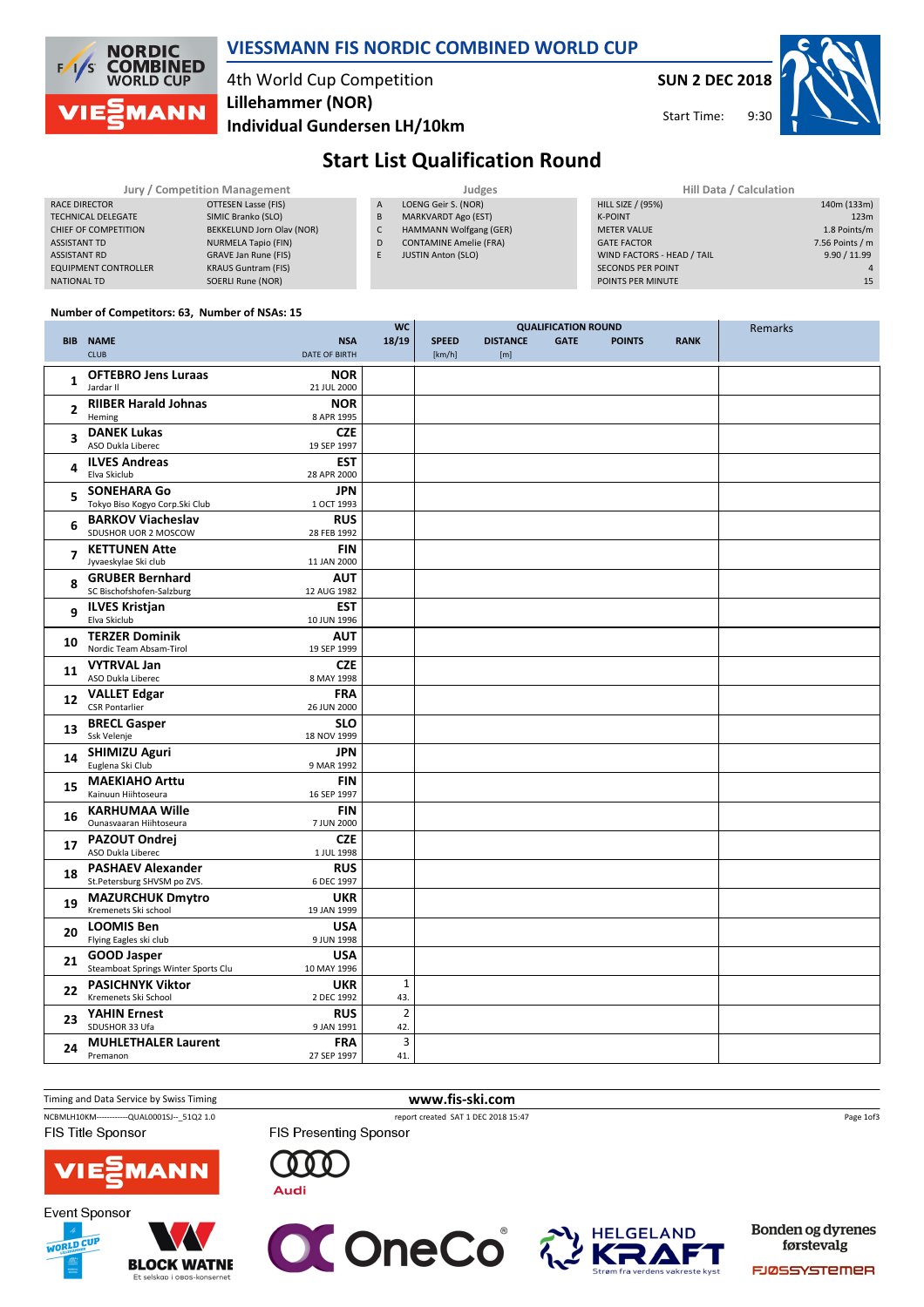

### VIESSMANN FIS NORDIC COMBINED WORLD CUP

## 4th World Cup Competition Lillehammer (NOR)

Individual Gundersen LH/10km

SUN 2 DEC 2018

9:30 Start Time:

Remarks



## Start List Qualification Round

| Jury / Competition Management |                            |   | Judges                        | Hill Data / Calculation    |                 |  |
|-------------------------------|----------------------------|---|-------------------------------|----------------------------|-----------------|--|
| <b>RACE DIRECTOR</b>          | OTTESEN Lasse (FIS)        | A | LOENG Geir S. (NOR)           | HILL SIZE / (95%)          | 140m (133m)     |  |
| <b>TECHNICAL DELEGATE</b>     | SIMIC Branko (SLO)         | B | <b>MARKVARDT Ago (EST)</b>    | <b>K-POINT</b>             | 123m            |  |
| CHIEF OF COMPETITION          | BEKKELUND Jorn Olav (NOR)  |   | HAMMANN Wolfgang (GER)        | <b>METER VALUE</b>         | 1.8 Points/m    |  |
| <b>ASSISTANT TD</b>           | NURMELA Tapio (FIN)        | D | <b>CONTAMINE Amelie (FRA)</b> | <b>GATE FACTOR</b>         | 7.56 Points / m |  |
| <b>ASSISTANT RD</b>           | GRAVE Jan Rune (FIS)       |   | <b>JUSTIN Anton (SLO)</b>     | WIND FACTORS - HEAD / TAIL | 9.90 / 11.99    |  |
| <b>EQUIPMENT CONTROLLER</b>   | <b>KRAUS Guntram (FIS)</b> |   |                               | <b>SECONDS PER POINT</b>   |                 |  |
| <b>NATIONAL TD</b>            | SOERLI Rune (NOR)          |   |                               | POINTS PER MINUTE          | 15              |  |

QUALIFICATION ROUND

 $W<sub>c</sub>$ 

#### Number of Competitors: 63, Number of NSAs: 15

|                          |                                                     |                           |                |              |                 | QUALILIUNTIUN NUUNL |               |             | Rellidiks |
|--------------------------|-----------------------------------------------------|---------------------------|----------------|--------------|-----------------|---------------------|---------------|-------------|-----------|
| <b>BIB</b>               | <b>NAME</b>                                         | <b>NSA</b>                | 18/19          | <b>SPEED</b> | <b>DISTANCE</b> | <b>GATE</b>         | <b>POINTS</b> | <b>RANK</b> |           |
|                          | <b>CLUB</b>                                         | <b>DATE OF BIRTH</b>      |                | [km/h]       | [m]             |                     |               |             |           |
| 1                        | <b>OFTEBRO Jens Luraas</b>                          | <b>NOR</b>                |                |              |                 |                     |               |             |           |
|                          | Jardar II                                           | 21 JUL 2000               |                |              |                 |                     |               |             |           |
| $\overline{2}$           | <b>RIIBER Harald Johnas</b>                         | <b>NOR</b>                |                |              |                 |                     |               |             |           |
|                          | Heming                                              | 8 APR 1995                |                |              |                 |                     |               |             |           |
| 3                        | <b>DANEK Lukas</b><br>ASO Dukla Liberec             | <b>CZE</b><br>19 SEP 1997 |                |              |                 |                     |               |             |           |
|                          | <b>ILVES Andreas</b>                                | <b>EST</b>                |                |              |                 |                     |               |             |           |
| 4                        | Elva Skiclub                                        | 28 APR 2000               |                |              |                 |                     |               |             |           |
| 5                        | <b>SONEHARA Go</b>                                  | <b>JPN</b>                |                |              |                 |                     |               |             |           |
|                          | Tokyo Biso Kogyo Corp.Ski Club                      | 1 OCT 1993                |                |              |                 |                     |               |             |           |
| 6                        | <b>BARKOV Viacheslav</b>                            | <b>RUS</b>                |                |              |                 |                     |               |             |           |
|                          | SDUSHOR UOR 2 MOSCOW                                | 28 FEB 1992               |                |              |                 |                     |               |             |           |
| $\overline{\phantom{a}}$ | <b>KETTUNEN Atte</b>                                | <b>FIN</b>                |                |              |                 |                     |               |             |           |
|                          | Jyvaeskylae Ski club                                | 11 JAN 2000               |                |              |                 |                     |               |             |           |
| 8                        | <b>GRUBER Bernhard</b><br>SC Bischofshofen-Salzburg | <b>AUT</b><br>12 AUG 1982 |                |              |                 |                     |               |             |           |
|                          | <b>ILVES Kristjan</b>                               | EST                       |                |              |                 |                     |               |             |           |
| 9                        | Elva Skiclub                                        | 10 JUN 1996               |                |              |                 |                     |               |             |           |
|                          | <b>TERZER Dominik</b>                               | <b>AUT</b>                |                |              |                 |                     |               |             |           |
| 10                       | Nordic Team Absam-Tirol                             | 19 SEP 1999               |                |              |                 |                     |               |             |           |
| 11                       | <b>VYTRVAL Jan</b>                                  | <b>CZE</b>                |                |              |                 |                     |               |             |           |
|                          | ASO Dukla Liberec                                   | 8 MAY 1998                |                |              |                 |                     |               |             |           |
| 12                       | <b>VALLET Edgar</b>                                 | <b>FRA</b>                |                |              |                 |                     |               |             |           |
|                          | <b>CSR Pontarlier</b>                               | 26 JUN 2000               |                |              |                 |                     |               |             |           |
| 13                       | <b>BRECL Gasper</b>                                 | <b>SLO</b>                |                |              |                 |                     |               |             |           |
|                          | Ssk Velenje                                         | 18 NOV 1999<br><b>JPN</b> |                |              |                 |                     |               |             |           |
| 14                       | <b>SHIMIZU Aguri</b><br>Euglena Ski Club            | 9 MAR 1992                |                |              |                 |                     |               |             |           |
|                          | <b>MAEKIAHO Arttu</b>                               | <b>FIN</b>                |                |              |                 |                     |               |             |           |
| 15                       | Kainuun Hiihtoseura                                 | 16 SEP 1997               |                |              |                 |                     |               |             |           |
|                          | <b>KARHUMAA Wille</b>                               | FIN                       |                |              |                 |                     |               |             |           |
| 16                       | Ounasvaaran Hiihtoseura                             | 7 JUN 2000                |                |              |                 |                     |               |             |           |
| 17                       | <b>PAZOUT Ondrej</b>                                | <b>CZE</b>                |                |              |                 |                     |               |             |           |
|                          | ASO Dukla Liberec                                   | 1 JUL 1998                |                |              |                 |                     |               |             |           |
| 18                       | <b>PASHAEV Alexander</b>                            | <b>RUS</b>                |                |              |                 |                     |               |             |           |
|                          | St.Petersburg SHVSM po ZVS.                         | 6 DEC 1997                |                |              |                 |                     |               |             |           |
| 19                       | <b>MAZURCHUK Dmytro</b><br>Kremenets Ski school     | <b>UKR</b><br>19 JAN 1999 |                |              |                 |                     |               |             |           |
|                          | <b>LOOMIS Ben</b>                                   | <b>USA</b>                |                |              |                 |                     |               |             |           |
| 20                       | Flying Eagles ski club                              | 9 JUN 1998                |                |              |                 |                     |               |             |           |
|                          | <b>GOOD Jasper</b>                                  | <b>USA</b>                |                |              |                 |                     |               |             |           |
| 21                       | Steamboat Springs Winter Sports Clu                 | 10 MAY 1996               |                |              |                 |                     |               |             |           |
| 22                       | <b>PASICHNYK Viktor</b>                             | <b>UKR</b>                | $\mathbf{1}$   |              |                 |                     |               |             |           |
|                          | Kremenets Ski School                                | 2 DEC 1992                | 43.            |              |                 |                     |               |             |           |
| 23                       | <b>YAHIN Ernest</b>                                 | <b>RUS</b>                | $\overline{2}$ |              |                 |                     |               |             |           |
|                          | SDUSHOR 33 Ufa                                      | 9 JAN 1991                | 42.            |              |                 |                     |               |             |           |
| 24                       | <b>MUHLETHALER Laurent</b><br>Premanon              | <b>FRA</b><br>27 SEP 1997 | 3<br>41.       |              |                 |                     |               |             |           |
|                          |                                                     |                           |                |              |                 |                     |               |             |           |



FIS Presenting Sponsor

Page 1of3



**Event Sponsor** WORLD CUP





 $000$ 

**Audi** 



**Bonden og dyrenes** førstevalg

**FJØSSYSTEMER**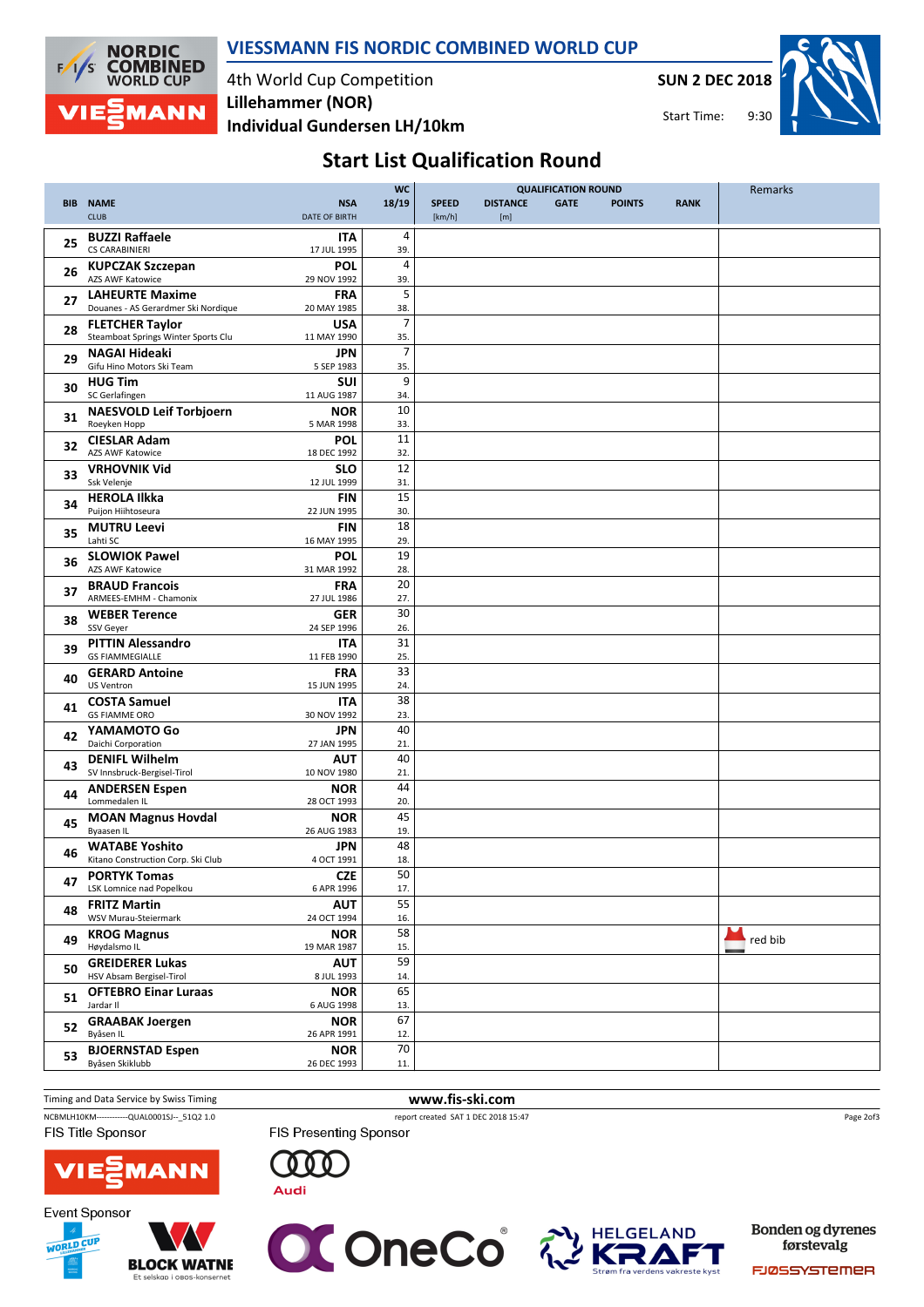

### VIESSMANN FIS NORDIC COMBINED WORLD CUP

4th World Cup Competition Individual Gundersen LH/10km Lillehammer (NOR)

SUN 2 DEC 2018

9:30 Start Time:



# Start List Qualification Round

|    |                                     |                      | <b>WC</b>      | <b>QUALIFICATION ROUND</b> |                 |             |               | Remarks     |         |
|----|-------------------------------------|----------------------|----------------|----------------------------|-----------------|-------------|---------------|-------------|---------|
|    | <b>BIB NAME</b>                     | <b>NSA</b>           | 18/19          | <b>SPEED</b>               | <b>DISTANCE</b> | <b>GATE</b> | <b>POINTS</b> | <b>RANK</b> |         |
|    | <b>CLUB</b>                         | <b>DATE OF BIRTH</b> |                | [km/h]                     | [m]             |             |               |             |         |
|    |                                     |                      |                |                            |                 |             |               |             |         |
| 25 | <b>BUZZI Raffaele</b>               | <b>ITA</b>           | 4              |                            |                 |             |               |             |         |
|    | <b>CS CARABINIERI</b>               | 17 JUL 1995          | 39.            |                            |                 |             |               |             |         |
| 26 | <b>KUPCZAK Szczepan</b>             | POL                  | $\overline{4}$ |                            |                 |             |               |             |         |
|    | <b>AZS AWF Katowice</b>             | 29 NOV 1992          | 39.            |                            |                 |             |               |             |         |
|    | <b>LAHEURTE Maxime</b>              | <b>FRA</b>           | 5              |                            |                 |             |               |             |         |
| 27 | Douanes - AS Gerardmer Ski Nordique | 20 MAY 1985          | 38.            |                            |                 |             |               |             |         |
|    | <b>FLETCHER Taylor</b>              | <b>USA</b>           | $\overline{7}$ |                            |                 |             |               |             |         |
| 28 | Steamboat Springs Winter Sports Clu | 11 MAY 1990          | 35.            |                            |                 |             |               |             |         |
|    | <b>NAGAI Hideaki</b>                | JPN                  | $\overline{7}$ |                            |                 |             |               |             |         |
| 29 | Gifu Hino Motors Ski Team           | 5 SEP 1983           | 35.            |                            |                 |             |               |             |         |
|    |                                     |                      |                |                            |                 |             |               |             |         |
| 30 | <b>HUG Tim</b>                      | <b>SUI</b>           | 9              |                            |                 |             |               |             |         |
|    | SC Gerlafingen                      | 11 AUG 1987          | 34.            |                            |                 |             |               |             |         |
| 31 | <b>NAESVOLD Leif Torbjoern</b>      | NOR                  | 10             |                            |                 |             |               |             |         |
|    | Roeyken Hopp                        | 5 MAR 1998           | 33.            |                            |                 |             |               |             |         |
| 32 | <b>CIESLAR Adam</b>                 | POL                  | 11             |                            |                 |             |               |             |         |
|    | <b>AZS AWF Katowice</b>             | 18 DEC 1992          | 32.            |                            |                 |             |               |             |         |
|    | <b>VRHOVNIK Vid</b>                 | <b>SLO</b>           | 12             |                            |                 |             |               |             |         |
| 33 | Ssk Velenje                         | 12 JUL 1999          | 31.            |                            |                 |             |               |             |         |
|    | <b>HEROLA Ilkka</b>                 | <b>FIN</b>           | 15             |                            |                 |             |               |             |         |
| 34 | Puijon Hiihtoseura                  | 22 JUN 1995          | 30.            |                            |                 |             |               |             |         |
|    | <b>MUTRU Leevi</b>                  | <b>FIN</b>           | 18             |                            |                 |             |               |             |         |
| 35 | Lahti SC                            | 16 MAY 1995          | 29.            |                            |                 |             |               |             |         |
|    |                                     |                      | 19             |                            |                 |             |               |             |         |
| 36 | <b>SLOWIOK Pawel</b>                | POL                  |                |                            |                 |             |               |             |         |
|    | <b>AZS AWF Katowice</b>             | 31 MAR 1992          | 28.            |                            |                 |             |               |             |         |
| 37 | <b>BRAUD Francois</b>               | <b>FRA</b>           | 20             |                            |                 |             |               |             |         |
|    | ARMEES-EMHM - Chamonix              | 27 JUL 1986          | 27.            |                            |                 |             |               |             |         |
| 38 | <b>WEBER Terence</b>                | <b>GER</b>           | 30             |                            |                 |             |               |             |         |
|    | SSV Geyer                           | 24 SEP 1996          | 26.            |                            |                 |             |               |             |         |
|    | <b>PITTIN Alessandro</b>            | <b>ITA</b>           | 31             |                            |                 |             |               |             |         |
| 39 | <b>GS FIAMMEGIALLE</b>              | 11 FEB 1990          | 25.            |                            |                 |             |               |             |         |
|    | <b>GERARD Antoine</b>               | FRA                  | 33             |                            |                 |             |               |             |         |
| 40 | US Ventron                          | 15 JUN 1995          | 24.            |                            |                 |             |               |             |         |
|    | <b>COSTA Samuel</b>                 | ITA                  | 38             |                            |                 |             |               |             |         |
| 41 | <b>GS FIAMME ORO</b>                | 30 NOV 1992          | 23.            |                            |                 |             |               |             |         |
|    | YAMAMOTO Go                         | <b>JPN</b>           | 40             |                            |                 |             |               |             |         |
| 42 | Daichi Corporation                  | 27 JAN 1995          | 21.            |                            |                 |             |               |             |         |
|    |                                     |                      |                |                            |                 |             |               |             |         |
| 43 | <b>DENIFL Wilhelm</b>               | AUT                  | 40             |                            |                 |             |               |             |         |
|    | SV Innsbruck-Bergisel-Tirol         | 10 NOV 1980          | 21.            |                            |                 |             |               |             |         |
| 44 | <b>ANDERSEN Espen</b>               | <b>NOR</b>           | 44             |                            |                 |             |               |             |         |
|    | Lommedalen IL                       | 28 OCT 1993          | 20.            |                            |                 |             |               |             |         |
| 45 | <b>MOAN Magnus Hovdal</b>           | <b>NOR</b>           | 45             |                            |                 |             |               |             |         |
|    | Byaasen IL                          | 26 AUG 1983          | 19.            |                            |                 |             |               |             |         |
| 46 | <b>WATABE Yoshito</b>               | <b>JPN</b>           | 48             |                            |                 |             |               |             |         |
|    | Kitano Construction Corp. Ski Club  | 4 OCT 1991           | 18.            |                            |                 |             |               |             |         |
|    | <b>PORTYK Tomas</b>                 | <b>CZE</b>           | 50             |                            |                 |             |               |             |         |
| 47 | LSK Lomnice nad Popelkou            | 6 APR 1996           | 17.            |                            |                 |             |               |             |         |
|    | <b>FRITZ Martin</b>                 | <b>AUT</b>           | 55             |                            |                 |             |               |             |         |
| 48 | WSV Murau-Steiermark                | 24 OCT 1994          | 16.            |                            |                 |             |               |             |         |
|    |                                     |                      | 58             |                            |                 |             |               |             |         |
| 49 | <b>KROG Magnus</b><br>Høydalsmo IL  | <b>NOR</b>           | 15.            |                            |                 |             |               |             | red bib |
|    |                                     | 19 MAR 1987          |                |                            |                 |             |               |             |         |
| 50 | <b>GREIDERER Lukas</b>              | <b>AUT</b>           | 59             |                            |                 |             |               |             |         |
|    | HSV Absam Bergisel-Tirol            | 8 JUL 1993           | 14.            |                            |                 |             |               |             |         |
| 51 | <b>OFTEBRO Einar Luraas</b>         | <b>NOR</b>           | 65             |                            |                 |             |               |             |         |
|    | Jardar II                           | 6 AUG 1998           | 13.            |                            |                 |             |               |             |         |
| 52 | <b>GRAABAK Joergen</b>              | <b>NOR</b>           | 67             |                            |                 |             |               |             |         |
|    | Byåsen IL                           | 26 APR 1991          | 12.            |                            |                 |             |               |             |         |
|    | <b>BJOERNSTAD Espen</b>             | <b>NOR</b>           | 70             |                            |                 |             |               |             |         |
| 53 | Byåsen Skiklubb                     | 26 DEC 1993          | 11.            |                            |                 |             |               |             |         |

Timing and Data Service by Swiss Timing **www.fis-ski.com** NCBMLH10KM------------QUAL0001SJ--\_51Q2 1.0 report created SAT 1 DEC 2018 15:47 FIS Title Sponsor

FIS Presenting Sponsor

Page 2of3



**Event Sponsor** 





**Audi** 

 $000$ 



Bonden og dyrenes førstevalg

FJØSSYSTEMER